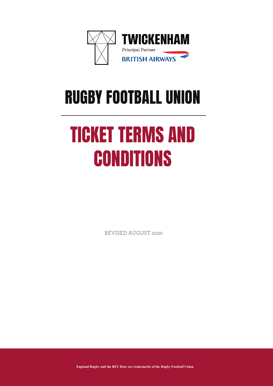

# RUGBY FOOTBALL UNION

# TICKET TERMS AND **CONDITIONS**

REVISED AUGUST 2020

**England Rugby and the RFU Rose are trademarks of the Rugby Football Union.**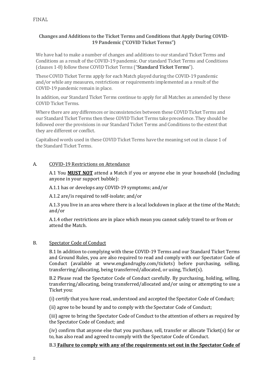# **Changes and Additions to the Ticket Terms and Conditions that Apply During COVID-19 Pandemic ("COVID Ticket Terms")**

We have had to make a number of changes and additions to our standard Ticket Terms and Conditions as a result of the COVID-19 pandemic. Our standard Ticket Terms and Conditions (clauses 1-8) follow these COVID Ticket Terms ("**Standard Ticket Terms**").

These COVID Ticket Terms apply for each Match played during the COVID-19 pandemic and/or while any measures, restrictions or requirements implemented as a result of the COVID-19 pandemic remain in place.

In addition, our Standard Ticket Terms continue to apply for all Matches as amended by these COVID Ticket Terms.

Where there are any differences or inconsistencies between these COVID Ticket Terms and our Standard Ticket Terms then these COVID Ticket Terms take precedence. They should be followed over the provisions in our Standard Ticket Terms and Conditions to the extent that they are different or conflict.

Capitalised words used in these COVID Ticket Terms have the meaning set out in clause 1 of the Standard Ticket Terms.

### A. COVID-19 Restrictions on Attendance

A.1 You **MUST NOT** attend a Match if you or anyone else in your household (including anyone in your support bubble):

A.1.1 has or develops any COVID-19 symptoms; and/or

A.1.2 are/is required to self-isolate; and/or

A.1.3 you live in an area where there is a local lockdown in place at the time of the Match; and/or

A.1.4 other restrictions are in place which mean you cannot safely travel to or from or attend the Match.

### B. Spectator Code of Conduct

B.1 In addition to complying with these COVID-19 Terms and our Standard Ticket Terms and Ground Rules, you are also required to read and comply with our Spectator Code of Conduct (available at [www.englandrugby.com/tickets\)](http://www.englandrugby.com/tickets) before purchasing, selling, transferring/allocating, being transferred/allocated, or using, Ticket(s).

B.2 Please read the Spectator Code of Conduct carefully. By purchasing, holding, selling, transferring/allocating, being transferred/allocated and/or using or attempting to use a Ticket you:

(i) certify that you have read, understood and accepted the Spectator Code of Conduct;

(ii) agree to be bound by and to comply with the Spectator Code of Conduct;

(iii) agree to bring the Spectator Code of Conduct to the attention of others as required by the Spectator Code of Conduct; and

(iv) confirm that anyone else that you purchase, sell, transfer or allocate Ticket(s) for or to, has also read and agreed to comply with the Spectator Code of Conduct.

### B.3 **Failure to comply with any of the requirements set out in the Spectator Code of**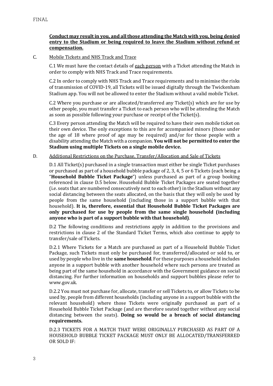# **Conduct may result in you, and all those attending the Match with you, being denied entry to the Stadium or being required to leave the Stadium without refund or compensation.**

#### C. Mobile Tickets and NHS Track and Trace

C.1 We must have the contact details of each person with a Ticket attending the Match in order to comply with NHS Track and Trace requirements.

C.2 In order to comply with NHS Track and Trace requirements and to minimise the risks of transmission of COVID-19, all Tickets will be issued digitally through the Twickenham Stadium app. You will not be allowed to enter the Stadium without a valid mobile Ticket.

C.2 Where you purchase or are allocated/transferred any Ticket(s) which are for use by other people, you must transfer a Ticket to each person who will be attending the Match as soon as possible following your purchase or receipt of the Ticket(s).

C.3 Every person attending the Match will be required to have their own mobile ticket on their own device. The only exceptions to this are for accompanied minors (those under the age of 18 where proof of age may be required) and/or for those people with a disability attending the Match with a companion. **You will not be permitted to enter the Stadium using multiple Tickets on a single mobile device.**

#### D. Additional Restrictions on the Purchase, Transfer/Allocation and Sale of Tickets

D.1 All Ticket(s) purchased in a single transaction must either be single Ticket purchases or purchased as part of a household bubble package of 2, 3, 4, 5 or 6 Tickets (each being a "**Household Bubble Ticket Package**") unless purchased as part of a group booking referenced in clause D.5 below. Household Bubble Ticket Packages are seated together (i.e. seats that are numbered consecutively next to each other) in the Stadium without any social distancing between the seats allocated, on the basis that they will only be used by people from the same household (including those in a support bubble with that household). **It is, therefore, essential that Household Bubble Ticket Packages are only purchased for use by people from the same single household (including anyone who is part of a support bubble with that household)**.

D.2 The following conditions and restrictions apply in addition to the provisions and restrictions in clause 2 of the Standard Ticket Terms, which also continue to apply to transfer/sale of Tickets.

D.2.1 Where Tickets for a Match are purchased as part of a Household Bubble Ticket Package, such Tickets must only be purchased for, transferred/allocated or sold to, or used by people who live in the **same household**. For these purposes a household includes anyone in a support bubble with another household where such persons are treated as being part of the same household in accordance with the Government guidance on social distancing. For further information on households and support bubbles please refer to [www.gov.uk.](http://www.gov.uk/)

D.2.2 You must not purchase for, allocate, transfer or sell Tickets to, or allow Tickets to be used by, people from different households (including anyone in a support bubble with the relevant household) where those Tickets were originally purchased as part of a Household Bubble Ticket Package (and are therefore seated together without any social distancing between the seats). **Doing so would be a breach of social distancing requirements.**

D.2.3 TICKETS FOR A MATCH THAT WERE ORIGINALLY PURCHASED AS PART OF A HOUSEHOLD BUBBLE TICKET PACKAGE MUST ONLY BE ALLOCATED/TRANSFERRED OR SOLD IF: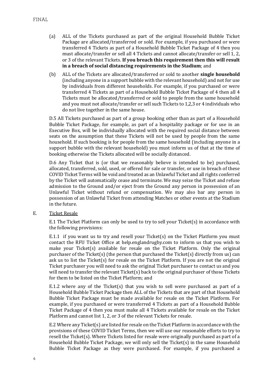- (a) ALL of the Tickets purchased as part of the original Household Bubble Ticket Package are allocated/transferred or sold. For example, if you purchased or were transferred 4 Tickets as part of a Household Bubble Ticket Package of 4 then you must allocate/transfer or sell all 4 Tickets and cannot allocate/transfer or sell 1, 2, or 3 of the relevant Tickets. **If you breach this requirement then this will result in a breach of social distancing requirements in the Stadium**; and
- (b) ALL of the Tickets are allocated/transferred or sold to another **single household** (including anyone in a support bubble with the relevant household) and not for use by individuals from different households. For example, if you purchased or were transferred 4 Tickets as part of a Household Bubble Ticket Package of 4 then all 4 Tickets must be allocated/transferred or sold to people from the same household and you must not allocate/transfer or sell such Tickets to 1,2,3 or 4 individuals who do not live together in the same house.

D.5 All Tickets purchased as part of a group booking other than as part of a Household Bubble Ticket Package, for example, as part of a hospitality package or for use in an Executive Box, will be individually allocated with the required social distance between seats on the assumption that these Tickets will not be used by people from the same household. If such booking is for people from the same household (including anyone in a support bubble with the relevant household) you must inform us of that at the time of booking otherwise the Tickets allocated will be socially distanced.

D.6 Any Ticket that is (or that we reasonably believe is intended to be) purchased, allocated, transferred, sold, used, or offered for sale or transfer, or use in breach of these COVID Ticket Terms will be void and treated as an Unlawful Ticket and all rights conferred by the Ticket will automatically cease and terminate. We may seize the Ticket and refuse admission to the Ground and/or eject from the Ground any person in possession of an Unlawful Ticket without refund or compensation. We may also bar any person in possession of an Unlawful Ticket from attending Matches or other events at the Stadium in the future.

E. Ticket Resale

E.1 The Ticket Platform can only be used to try to sell your Ticket(s) in accordance with the following provisions:

E.1.1 if you want us to try and resell your Ticket(s) on the Ticket Platform you must contact the RFU Ticket Office at help.englandrugby.com to inform us that you wish to make your Ticket(s) available for resale on the Ticket Platform. Only the original purchaser of the Ticket(s) (the person that purchased the Ticket(s) directly from us) can ask us to list the Ticket(s) for resale on the Ticket Platform. If you are not the original Ticket purchaser you will need to ask the original Ticket purchaser to contact us and you will need to transfer the relevant Ticket(s) back to the original purchaser of those Tickets for them to be listed on the Ticket Platform; and

E.1.2 where any of the Ticket(s) that you wish to sell were purchased as part of a Household Bubble Ticket Package then ALL of the Tickets that are part of that Household Bubble Ticket Package must be made available for resale on the Ticket Platform. For example, if you purchased or were transferred 4 Tickets as part of a Household Bubble Ticket Package of 4 then you must make all 4 Tickets available for resale on the Ticket Platform and cannot list 1, 2, or 3 of the relevant Tickets for resale.

E.2 Where any Ticket(s) are listed for resale on the Ticket Platform in accordance with the provisions of these COVID Ticket Terms, then we will use our reasonable efforts to try to resell the Ticket(s). Where Tickets listed for resale were originally purchased as part of a Household Bubble Ticket Package, we will only sell the Ticket(s) in the same Household Bubble Ticket Package as they were purchased. For example, if you purchased a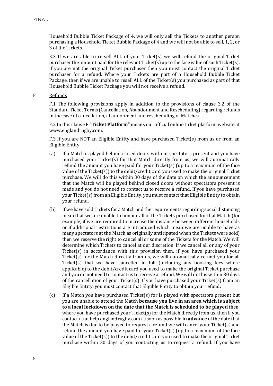Household Bubble Ticket Package of 4, we will only sell the Tickets to another person purchasing a Household Ticket Bubble Package of 4 and we will not be able to sell, 1, 2, or 3 of the Tickets.

E.3 If we are able to re-sell ALL of your Ticket(s) we will refund the original Ticket purchaser the amount paid for the relevant Ticket(s) up to the face value of such Ticket(s). If you are not the original Ticket purchaser then you must contact the original Ticket purchaser for a refund. Where your Tickets are part of a Household Bubble Ticket Package, then if we are unable to resell ALL of the Ticket(s) you purchased as part of that Household Bubble Ticket Package you will not receive a refund.

F. Refunds

F.1 The following provisions apply in addition to the provisions of clause 3.2 of the Standard Ticket Terms (Cancellation, Abandonment and Rescheduling) regarding refunds in the case of cancellation, abandonment and rescheduling of Matches.

F.2 In this clause F **"Ticket Platform"** means our official online ticket platform website at www.englandrugby.com.

F.3 If you are NOT an Eligible Entity and have purchased Ticket(s) from us or from an Eligible Entity

- (a) If a Match is played behind closed doors without spectators present and you have purchased your Ticket(s) for that Match directly from us, we will automatically refund the amount you have paid for your Ticket(s) (up to a maximum of the face value of the Ticket(s)) to the debit/credit card you used to make the original Ticket purchase. We will do this within 30 days of the date on which the announcement that the Match will be played behind closed doors without spectators present is made and you do not need to contact us to receive a refund. If you have purchased your Ticket(s) from an Eligible Entity, you must contact that Eligible Entity to obtain your refund.
- (b) If we have sold Tickets for a Match and the requirements regarding social distancing mean that we are unable to honour all of the Tickets purchased for that Match (for example, if we are required to increase the distance between different households or if additional restrictions are introduced which mean we are unable to have as many spectators at the Match as originally anticipated when the Tickets were sold) then we reserve the right to cancel all or some of the Tickets for the Match. We will determine which Tickets to cancel at our discretion. If we cancel all or any of your Ticket(s) in accordance with this provision then, if you have purchased your Ticket(s) for the Match directly from us, we will automatically refund you for all Ticket(s) that we have cancelled in full (including any booking fees where applicable) to the debit/credit card you used to make the original Ticket purchase and you do not need to contact us to receive a refund. We will do this within 30 days of the cancellation of your Ticket(s). If you have purchased your Ticket(s) from an Eligible Entity, you must contact that Eligible Entity to obtain your refund.
- (c) If a Match you have purchased Ticket(s) for is played with spectators present but you are unable to attend the Match **because you live in an area which is subject to a local lockdown on the date that the Match is scheduled to be played** then, where you have purchased your Ticket(s) for the Match directly from us, then if you contact us at help.englandrugby.com as soon as possible **in advance** of the date that the Match is due to be played to request a refund we will cancel your Ticket(s) and refund the amount you have paid for your Ticket(s) (up to a maximum of the face value of the Ticket(s)) to the debit/credit card you used to make the original Ticket purchase within 30 days of you contacting us to request a refund. If you have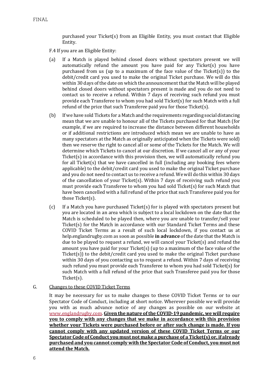purchased your Ticket(s) from an Eligible Entity, you must contact that Eligible Entity.

F.4 If you are an Eligible Entity:

- (a) If a Match is played behind closed doors without spectators present we will automatically refund the amount you have paid for any Ticket(s) you have purchased from us (up to a maximum of the face value of the Ticket(s)) to the debit/credit card you used to make the original Ticket purchase. We will do this within 30 days of the date on which the announcement that the Match will be played behind closed doors without spectators present is made and you do not need to contact us to receive a refund. Within 7 days of receiving such refund you must provide each Transferee to whom you had sold Ticket(s) for such Match with a full refund of the price that such Transferee paid you for those Ticket(s).
- (b) If we have sold Tickets for a Match and the requirements regarding social distancing mean that we are unable to honour all of the Tickets purchased for that Match (for example, if we are required to increase the distance between different households or if additional restrictions are introduced which mean we are unable to have as many spectators at the Match as originally anticipated when the Tickets were sold) then we reserve the right to cancel all or some of the Tickets for the Match. We will determine which Tickets to cancel at our discretion. If we cancel all or any of your Ticket(s) in accordance with this provision then, we will automatically refund you for all Ticket(s) that we have cancelled in full (including any booking fees where applicable) to the debit/credit card you used to make the original Ticket purchase and you do not need to contact us to receive a refund. We will do this within 30 days of the cancellation of your Ticket(s). Within 7 days of receiving such refund you must provide each Transferee to whom you had sold Ticket(s) for such Match that have been cancelled with a full refund of the price that such Transferee paid you for those Ticket(s).
- (c) If a Match you have purchased Ticket(s) for is played with spectators present but you are located in an area which is subject to a local lockdown on the date that the Match is scheduled to be played then, where you are unable to transfer/sell your Ticket(s) for the Match in accordance with our Standard Ticket Terms and these COVID Ticket Terms as a result of such local lockdown, if you contact us at help.englandrugby.com as soon as possible **in advance** of the date that the Match is due to be played to request a refund, we will cancel your Ticket(s) and refund the amount you have paid for your Ticket(s) (up to a maximum of the face value of the Ticket $(s)$ ) to the debit/credit card you used to make the original Ticket purchase within 30 days of you contacting us to request a refund. Within 7 days of receiving such refund you must provide each Transferee to whom you had sold Ticket(s) for such Match with a full refund of the price that such Transferee paid you for those Ticket(s).

#### G. Changes to these COVID Ticket Terms

It may be necessary for us to make changes to these COVID Ticket Terms or to our Spectator Code of Conduct, including at short notice. Wherever possible we will provide you with as much advance notice of any changes as possible on our website at [www.englandrugby.com.](http://www.englandrugby.com/) **Given the nature of the COVID-19 pandemic, we will require you to comply with any changes that we make in accordance with this provision whether your Tickets were purchased before or after such change is made. If you cannot comply with any updated version of these COVID Ticket Terms or our Spectator Code of Conduct you must not make a purchase of a Ticket(s) or, if already purchased and you cannot comply with the Spectator Code of Conduct, you must not attend the Match.**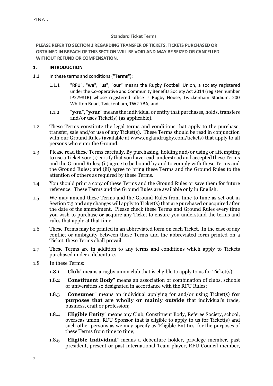#### **Standard Ticket Terms**

**PLEASE REFER TO SECTION 2 REGARDING TRANSFER OF TICKETS. TICKETS PURCHASED OR OBTAINED IN BREACH OF THIS SECTION WILL BE VOID AND MAY BE SEIZED OR CANCELLED WITHOUT REFUND OR COMPENSATION.**

#### **1. INTRODUCTION**

- 1.1 In these terms and conditions ("**Terms**"):
	- 1.1.1 "**RFU**", "**we**", "**us**", "**our**" means the Rugby Football Union, a society registered under the Co-operative and Community Benefits Society Act 2014 (register number IP27981R) whose registered office is Rugby House, Twickenham Stadium, 200 Whitton Road, Twickenham, TW2 7BA; and
	- 1.1.2 "**you**", "**your**" means the individual or entity that purchases, holds, transfers and/or uses Ticket(s) (as applicable).
- 1.2 These Terms constitute the legal terms and conditions that apply to the purchase, transfer, sale and/or use of any Ticket(s). These Terms should be read in conjunction with our Ground Rules (available at www.englandrugby.com/tickets) that apply to all persons who enter the Ground.
- 1.3 Please read these Terms carefully. By purchasing, holding and/or using or attempting to use a Ticket you: (i) certify that you have read, understood and accepted these Terms and the Ground Rules; (ii) agree to be bound by and to comply with these Terms and the Ground Rules; and (iii) agree to bring these Terms and the Ground Rules to the attention of others as required by these Terms.
- 1.4 You should print a copy of these Terms and the Ground Rules or save them for future reference. These Terms and the Ground Rules are available only in English.
- 1.5 We may amend these Terms and the Ground Rules from time to time as set out in Sectio[n 7.3](#page-15-0) and any changes will apply to Ticket(s) that are purchased or acquired after the date of the amendment. Please check these Terms and Ground Rules every time you wish to purchase or acquire any Ticket to ensure you understand the terms and rules that apply at that time.
- 1.6 These Terms may be printed in an abbreviated form on each Ticket. In the case of any conflict or ambiguity between these Terms and the abbreviated form printed on a Ticket, these Terms shall prevail.
- 1.7 These Terms are in addition to any terms and conditions which apply to Tickets purchased under a debenture.
- 1.8 In these Terms:
	- 1.8.1 **"Club**" means a rugby union club that is eligible to apply to us for Ticket(s);
	- 1.8.2 "**Constituent Body**" means an association or combination of clubs, schools or universities so designated in accordance with the RFU Rules;
	- 1.8.3 "**Consumer**" means an individual applying for and/or using Ticket(s) **for purposes that are wholly or mainly outside** that individual's trade, business, craft or profession;
	- 1.8.4 "**Eligible Entity**" means any Club, Constituent Body, Referee Society, school, overseas union, RFU Sponsor that is eligible to apply to us for Ticket(s) and such other persons as we may specify as 'Eligible Entities' for the purposes of these Terms from time to time;
	- 1.8.5 "**Eligible Individual**" means a debenture holder, privilege member, past president, present or past international Team player, RFU Council member,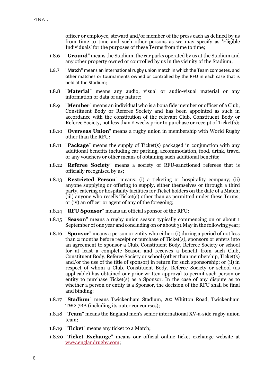officer or employee, steward and/or member of the press each as defined by us from time to time and such other persons as we may specify as 'Eligible Individuals' for the purposes of these Terms from time to time;

- 1.8.6 "**Ground**" means the Stadium, the car parks operated by us at the Stadium and any other property owned or controlled by us in the vicinity of the Stadium;
- 1.8.7 "**Match**" means an international rugby union match in which the Team competes, and other matches or tournaments owned or controlled by the RFU in each case that is held at the Stadium;
- 1.8.8 "**Material**" means any audio, visual or audio-visual material or any information or data of any nature;
- 1.8.9 "**Member**" means an individual who is a bona fide member or officer of a Club, Constituent Body or Referee Society and has been appointed as such in accordance with the constitution of the relevant Club, Constituent Body or Referee Society, not less than 2 weeks prior to purchase or receipt of Ticket(s);
- 1.8.10 "**Overseas Union**" means a rugby union in membership with World Rugby other than the RFU;
- 1.8.11 "**Package**" means the supply of Ticket(s) packaged in conjunction with any additional benefits including car parking, accommodation, food, drink, travel or any vouchers or other means of obtaining such additional benefits;
- 1.8.12 "**Referee Society**" means a society of RFU-sanctioned referees that is officially recognised by us;
- 1.8.13 "**Restricted Person**" means: (i) a ticketing or hospitality company; (ii) anyone supplying or offering to supply, either themselves or through a third party, catering or hospitality facilities for Ticket holders on the date of a Match; (iii) anyone who resells Ticket(s) other than as permitted under these Terms; or (iv) an officer or agent of any of the foregoing;
- 1.8.14 "**RFU Sponsor**" means an official sponsor of the RFU;
- 1.8.15 "**Season**" means a rugby union season typically commencing on or about 1 September of one year and concluding on or about 31 May in the following year;
- 1.8.16 "**Sponsor**" means a person or entity who either: (i) during a period of not less than 2 months before receipt or purchase of Ticket(s), sponsors or enters into an agreement to sponsor a Club, Constituent Body, Referee Society or school for at least a complete Season and receives a benefit from such Club, Constituent Body, Referee Society or school (other than membership, Ticket(s) and/or the use of the title of sponsor) in return for such sponsorship; or (ii) in respect of whom a Club, Constituent Body, Referee Society or school (as applicable) has obtained our prior written approval to permit such person or entity to purchase Ticket(s) as a Sponsor. In the case of any dispute as to whether a person or entity is a Sponsor, the decision of the RFU shall be final and binding;
- 1.8.17 "**Stadium**" means Twickenham Stadium, 200 Whitton Road, Twickenham TW2 7BA (including its outer concourses);
- 1.8.18 "**Team**" means the England men's senior international XV-a-side rugby union team;
- 1.8.19 "**Ticket**" means any ticket to a Match;
- 1.8.20 "**Ticket Exchange**" means our official online ticket exchange website at [www.englandrugby.com;](http://www.englandrugby.com/)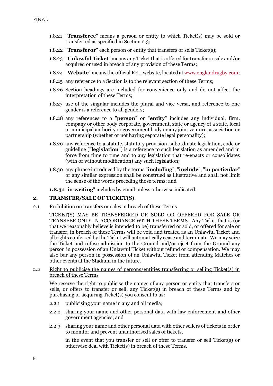- 1.8.21 "**Transferee**" means a person or entity to which Ticket(s) may be sold or transferred as specified in Section 2.3;
- 1.8.22 "**Transferor**" each person or entity that transfers or sells Ticket(s);
- 1.8.23 "**Unlawful Ticket**" means any Ticket that is offered for transfer or sale and/or acquired or used in breach of any provision of these Terms;
- 1.8.24 "**Website**" means the official RFU website, located at [www.englandrugby.com;](http://www.englandrugby.com/)
- 1.8.25 any reference to a Section is to the relevant section of these Terms;
- 1.8.26 Section headings are included for convenience only and do not affect the interpretation of these Terms;
- 1.8.27 use of the singular includes the plural and vice versa, and reference to one gender is a reference to all genders;
- 1.8.28 any references to a "**person**" or "**entity**" includes any individual, firm, company or other body corporate, government, state or agency of a state, local or municipal authority or government body or any joint venture, association or partnership (whether or not having separate legal personality);
- 1.8.29 any reference to a statute, statutory provision, subordinate legislation, code or guideline ("**legislation**") is a reference to such legislation as amended and in force from time to time and to any legislation that re-enacts or consolidates (with or without modification) any such legislation;
- 1.8.30 any phrase introduced by the terms "**including**", "**include**", "**in particular**" or any similar expression shall be construed as illustrative and shall not limit the sense of the words preceding those terms; and
- **1.8.31** "**in writing**" includes by email unless otherwise indicated.

### **2. TRANSFER/SALE OF TICKET(S)**

2.1 Prohibition on transfers or sales in breach of these Terms

TICKET(S) MAY BE TRANSFERRED OR SOLD OR OFFERED FOR SALE OR TRANSFER ONLY IN ACCORDANCE WITH THESE TERMS. Any Ticket that is (or that we reasonably believe is intended to be) transferred or sold, or offered for sale or transfer, in breach of these Terms will be void and treated as an Unlawful Ticket and all rights conferred by the Ticket will automatically cease and terminate. We may seize the Ticket and refuse admission to the Ground and/or eject from the Ground any person in possession of an Unlawful Ticket without refund or compensation. We may also bar any person in possession of an Unlawful Ticket from attending Matches or other events at the Stadium in the future.

#### 2.2 Right to publicise the names of persons/entities transferring or selling Ticket(s) in breach of these Terms

We reserve the right to publicise the names of any person or entity that transfers or sells, or offers to transfer or sell, any Ticket(s) in breach of these Terms and by purchasing or acquiring Ticket(s) you consent to us:

- 2.2.1 publicising your name in any and all media;
- 2.2.2 sharing your name and other personal data with law enforcement and other government agencies; and
- 2.2.3 sharing your name and other personal data with other sellers of tickets in order to monitor and prevent unauthorised sales of tickets,

in the event that you transfer or sell or offer to transfer or sell Ticket(s) or otherwise deal with Ticket(s) in breach of these Terms.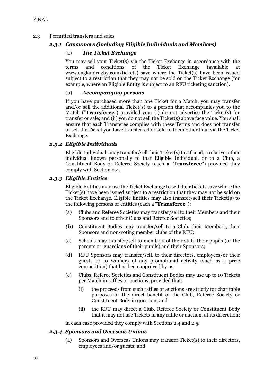# 2.3 Permitted transfers and sales

# *2.3.1 Consumers (including Eligible Individuals and Members)*

# (a) *The Ticket Exchange*

You may sell your Ticket(s) via the Ticket Exchange in accordance with the terms and conditions of the Ticket Exchange (available at terms and conditions of the Ticket Exchange (available at www.englandrugby.com/tickets) save where the Ticket(s) have been issued subject to a restriction that they may not be sold on the Ticket Exchange (for example, where an Eligible Entity is subject to an RFU ticketing sanction).

# (b) *Accompanying persons*

If you have purchased more than one Ticket for a Match, you may transfer and/or sell the additional Ticket(s) to a person that accompanies you to the Match ("**Transferee**") provided you: (i) do not advertise the Ticket(s) for transfer or sale; and (ii) you do not sell the Ticket(s) above face value. You shall ensure that each Transferee complies with these Terms and does not transfer or sell the Ticket you have transferred or sold to them other than via the Ticket Exchange.

### *2.3.2 Eligible Individuals*

Eligible Individuals may transfer/sell their Ticket(s) to a friend, a relative, other individual known personally to that Eligible Individual, or to a Club, a Constituent Body or Referee Society (each a "**Transferee**") provided they comply with Section 2.4.

### *2.3.3 Eligible Entities*

Eligible Entities may use the Ticket Exchange to sell their tickets save where the Ticket(s) have been issued subject to a restriction that they may not be sold on the Ticket Exchange. Eligible Entities may also transfer/sell their Ticket(s) to the following persons or entities (each a "**Transferee**"):

- (a) Clubs and Referee Societies may transfer/sell to their Members and their Sponsors and to other Clubs and Referee Societies;
- *(b)* Constituent Bodies may transfer/sell to a Club, their Members, their Sponsors and non-voting member clubs of the RFU;
- (c) Schools may transfer/sell to members of their staff, their pupils (or the parents or guardians of their pupils) and their Sponsors;
- (d) RFU Sponsors may transfer/sell, to their directors, employees/or their guests or to winners of any promotional activity (such as a prize competition) that has been approved by us;
- (e) Clubs, Referee Societies and Constituent Bodies may use up to 10 Tickets per Match in raffles or auctions, provided that:
	- (i) the proceeds from such raffles or auctions are strictly for charitable purposes or the direct benefit of the Club, Referee Society or Constituent Body in question; and
	- (ii) the RFU may direct a Club, Referee Society or Constituent Body that it may not use Tickets in any raffle or auction, at its discretion;

in each case provided they comply with Sections 2.4 and 2.5.

### *2.3.4 Sponsors and Overseas Unions*

(a) Sponsors and Overseas Unions may transfer Ticket(s) to their directors, employees and/or guests; and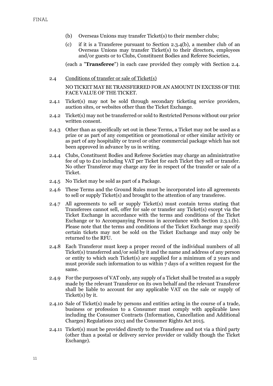- <span id="page-10-0"></span>(b) Overseas Uni0ns may transfer Ticket(s) to their member clubs;
- (c) if it is a Transferee pursuant to Section [2.3.4\(b\),](#page-10-0) a member club of an Overseas Unions may transfer Ticket(s) to their directors, employees and/or guests or to Clubs, Constituent Bodies and Referee Societies,

(each a "**Transferee**") in each case provided they comply with Section 2.4.

- 2.4 Conditions of transfer or sale of Ticket(s) NO TICKET MAY BE TRANSFERRED FOR AN AMOUNT IN EXCESS OF THE FACE VALUE OF THE TICKET.
- 2.4.1 Ticket(s) may not be sold through secondary ticketing service providers, auction sites, or websites other than the Ticket Exchange.
- <span id="page-10-1"></span>2.4.2 Ticket(s) may not be transferred or sold to Restricted Persons without our prior written consent.
- <span id="page-10-2"></span>2.4.3 Other than as specifically set out in these Terms, a Ticket may not be used as a prize or as part of any competition or promotional or other similar activity or as part of any hospitality or travel or other commercial package which has not been approved in advance by us in writing.
- 2.4.4 Clubs, Constituent Bodies and Referee Societies may charge an administrative fee of up to £10 including VAT per Ticket for each Ticket they sell or transfer. No other Transferor may charge any fee in respect of the transfer or sale of a Ticket.
- <span id="page-10-3"></span>2.4.5 No Ticket may be sold as part of a Package.
- 2.4.6 These Terms and the Ground Rules must be incorporated into all agreements to sell or supply Ticket(s) and brought to the attention of any transferee.
- 2.4.7 All agreements to sell or supply Ticket(s) must contain terms stating that Transferees cannot sell, offer for sale or transfer any Ticket(s) except via the Ticket Exchange in accordance with the terms and conditions of the Ticket Exchange or to Accompanying Persons in accordance with Section 2.3.1.(b). Please note that the terms and conditions of the Ticket Exchange may specify certain tickets may not be sold on the Ticket Exchange and may only be returned to the RFU.
- 2.4.8 Each Transferor must keep a proper record of the individual numbers of all Ticket(s) transferred and/or sold by it and the name and address of any person or entity to which such Ticket(s) are supplied for a minimum of 2 years and must provide such information to us within 7 days of a written request for the same.
- 2.4.9 For the purposes of VAT only, any supply of a Ticket shall be treated as a supply made by the relevant Transferor on its own behalf and the relevant Transferor shall be liable to account for any applicable VAT on the sale or supply of Ticket(s) by it.
- 2.4.10 Sale of Ticket(s) made by persons and entities acting in the course of a trade, business or profession to a Consumer must comply with applicable laws including the Consumer Contracts (Information, Cancellation and Additional Charges) Regulations 2013 and the Consumer Rights Act 2015.
- 2.4.11 Ticket(s) must be provided directly to the Transferee and not via a third party (other than a postal or delivery service provider or validly though the Ticket Exchange).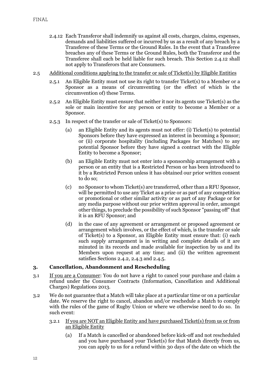- 2.4.12 Each Transferor shall indemnify us against all costs, charges, claims, expenses, demands and liabilities suffered or incurred by us as a result of any breach by a Transferee of these Terms or the Ground Rules. In the event that a Transferee breaches any of these Terms or the Ground Rules, both the Transferor and the Transferee shall each be held liable for such breach. This Section 2.4.12 shall not apply to Transferors that are Consumers.
- 2.5 Additional conditions applying to the transfer or sale of Ticket(s) by Eligible Entities
	- 2.5.1 An Eligible Entity must not use its right to transfer Ticket(s) to a Member or a Sponsor as a means of circumventing (or the effect of which is the circumvention of) these Terms.
	- 2.5.2 An Eligible Entity must ensure that neither it nor its agents use Ticket(s) as the sole or main incentive for any person or entity to become a Member or a Sponsor.
	- 2.5.3 In respect of the transfer or sale of Ticket(s) to Sponsors:
		- (a) an Eligible Entity and its agents must not offer: (i) Ticket(s) to potential Sponsors before they have expressed an interest in becoming a Sponsor; or (ii) corporate hospitality (including Packages for Matches) to any potential Sponsor before they have signed a contract with the Eligible Entity to become a Sponsor;
		- (b) an Eligible Entity must not enter into a sponsorship arrangement with a person or an entity that is a Restricted Person or has been introduced to it by a Restricted Person unless it has obtained our prior written consent to do so;
		- (c) no Sponsor to whom Ticket(s) are transferred, other than a RFU Sponsor, will be permitted to use any Ticket as a prize or as part of any competition or promotional or other similar activity or as part of any Package or for any media purpose without our prior written approval in order, amongst other things, to preclude the possibility of such Sponsor "passing off" that it is an RFU Sponsor; and
		- (d) in the case of any agreement or arrangement or proposed agreement or arrangement which involves, or the effect of which, is the transfer or sale of Ticket(s) to a Sponsor, an Eligible Entity must ensure that: (i) each such supply arrangement is in writing and complete details of it are minuted in its records and made available for inspection by us and its Members upon request at any time; and (ii) the written agreement satisfies Sections [2.4.2,](#page-10-1) [2.4.3](#page-10-2) and [2.4.5.](#page-10-3)

### **3. Cancellation, Abandonment and Rescheduling**

- 3.1 If you are a Consumer: You do not have a right to cancel your purchase and claim a refund under the Consumer Contracts (Information, Cancellation and Additional Charges) Regulations 2013.
- 3.2 We do not guarantee that a Match will take place at a particular time or on a particular date. We reserve the right to cancel, abandon and/or reschedule a Match to comply with the rules of the game of Rugby Union or where we otherwise need to do so. In such event:
	- 3.2.1 If you are NOT an Eligible Entity and have purchased Ticket(s) from us or from an Eligible Entity
		- (a) If a Match is cancelled or abandoned before kick-off and not rescheduled and you have purchased your Ticket(s) for that Match directly from us, you can apply to us for a refund within 30 days of the date on which the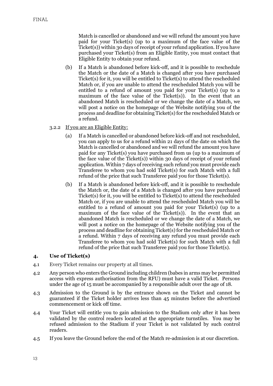Match is cancelled or abandoned and we will refund the amount you have paid for your Ticket(s) (up to a maximum of the face value of the Ticket(s)) within 30 days of receipt of your refund application. If you have purchased your Ticket(s) from an Eligible Entity, you must contact that Eligible Entity to obtain your refund.

- (b) If a Match is abandoned before kick-off, and it is possible to reschedule the Match or the date of a Match is changed after you have purchased Ticket(s) for it, you will be entitled to Ticket(s) to attend the rescheduled Match or, if you are unable to attend the rescheduled Match you will be entitled to a refund of amount you paid for your Ticket(s) (up to a maximum of the face value of the Ticket(s)). In the event that an abandoned Match is rescheduled or we change the date of a Match, we will post a notice on the homepage of the Website notifying you of the process and deadline for obtaining Ticket(s) for the rescheduled Match or a refund.
- 3.2.2 If you are an Eligible Entity:
	- (a) If a Match is cancelled or abandoned before kick-off and not rescheduled, you can apply to us for a refund within 21 days of the date on which the Match is cancelled or abandoned and we will refund the amount you have paid for any Ticket(s) you have purchased from us (up to a maximum of the face value of the Ticket(s)) within 30 days of receipt of your refund application. Within 7 days of receiving such refund you must provide each Transferee to whom you had sold Ticket(s) for such Match with a full refund of the price that such Transferee paid you for those Ticket(s).
	- (b) If a Match is abandoned before kick-off, and it is possible to reschedule the Match or, the date of a Match is changed after you have purchased Ticket(s) for it, you will be entitled to Ticket(s) to attend the rescheduled Match or, if you are unable to attend the rescheduled Match you will be entitled to a refund of amount you paid for your Ticket(s) (up to a maximum of the face value of the Ticket(s)). In the event that an abandoned Match is rescheduled or we change the date of a Match, we will post a notice on the homepage of the Website notifying you of the process and deadline for obtaining Ticket(s) for the rescheduled Match or a refund. Within 7 days of receiving any refund you must provide each Transferee to whom you had sold Ticket(s) for such Match with a full refund of the price that such Transferee paid you for those Ticket(s).

### **4. Use of Ticket(s)**

- 4.1 Every Ticket remains our property at all times.
- 4.2 Any person who enters the Ground including children (babes in arms may be permitted access with express authorisation from the RFU) must have a valid Ticket. Persons under the age of 15 must be accompanied by a responsible adult over the age of 18.
- 4.3 Admission to the Ground is by the entrance shown on the Ticket and cannot be guaranteed if the Ticket holder arrives less than 45 minutes before the advertised commencement or kick off time.
- 4.4 Your Ticket will entitle you to gain admission to the Stadium only after it has been validated by the control readers located at the appropriate turnstiles. You may be refused admission to the Stadium if your Ticket is not validated by such control readers.
- 4.5 If you leave the Ground before the end of the Match re-admission is at our discretion.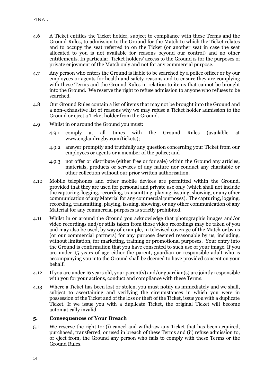- 4.6 A Ticket entitles the Ticket holder, subject to compliance with these Terms and the Ground Rules, to admission to the Ground for the Match to which the Ticket relates and to occupy the seat referred to on the Ticket (or another seat in case the seat allocated to you is not available for reasons beyond our control) and no other entitlements. In particular, Ticket holders' access to the Ground is for the purposes of private enjoyment of the Match only and not for any commercial purpose.
- 4.7 Any person who enters the Ground is liable to be searched by a police officer or by our employees or agents for health and safety reasons and to ensure they are complying with these Terms and the Ground Rules in relation to items that cannot be brought into the Ground. We reserve the right to refuse admission to anyone who refuses to be searched.
- 4.8 Our Ground Rules contain a list of items that may not be brought into the Ground and a non-exhaustive list of reasons why we may refuse a Ticket holder admission to the Ground or eject a Ticket holder from the Ground.
- 4.9 Whilst in or around the Ground you must:
	- 4.9.1 comply at all times with the Ground Rules (available at www.englandrugby.com/tickets);
	- 4.9.2 answer promptly and truthfully any question concerning your Ticket from our employees or agents or a member of the police; and
	- 4.9.3 not offer or distribute (either free or for sale) within the Ground any articles, materials, products or services of any nature nor conduct any charitable or other collection without our prior written authorisation.
- 4.10 Mobile telephones and other mobile devices are permitted within the Ground, provided that they are used for personal and private use only (which shall not include the capturing, logging, recording, transmitting, playing, issuing, showing, or any other communication of any Material for any commercial purposes). The capturing, logging, recording, transmitting, playing, issuing, showing, or any other communication of any Material for any commercial purposes is strictly prohibited.
- 4.11 Whilst in or around the Ground you acknowledge that photographic images and/or video recordings and/or stills taken from those video recordings may be taken of you and may also be used, by way of example, in televised coverage of the Match or by us (or our commercial partners) for any purpose deemed reasonable by us, including, without limitation, for marketing, training or promotional purposes. Your entry into the Ground is confirmation that you have consented to such use of your image. If you are under 15 years of age either the parent, guardian or responsible adult who is accompanying you into the Ground shall be deemed to have provided consent on your behalf.
- 4.12 If you are under 16 years old, your parent(s) and/or guardian(s) are jointly responsible with you for your actions, conduct and compliance with these Terms.
- 4.13 Where a Ticket has been lost or stolen, you must notify us immediately and we shall, subject to ascertaining and verifying the circumstances in which you were in possession of the Ticket and of the loss or theft of the Ticket, issue you with a duplicate Ticket. If we issue you with a duplicate Ticket, the original Ticket will become automatically invalid.

#### **5. Consequences of Your Breach**

5.1 We reserve the right to: (i) cancel and withdraw any Ticket that has been acquired, purchased, transferred, or used in breach of these Terms and (ii) refuse admission to, or eject from, the Ground any person who fails to comply with these Terms or the Ground Rules.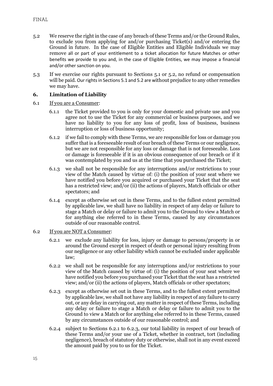- 5.2 We reserve the right in the case of any breach of these Terms and/or the Ground Rules, to exclude you from applying for and/or purchasing Ticket(s) and/or entering the Ground in future. In the case of Eligible Entities and Eligible Individuals we may remove all or part of your entitlement to a ticket allocation for future Matches or other benefits we provide to you and, in the case of Eligible Entities, we may impose a financial and/or other sanction on you.
- 5.3 If we exercise our rights pursuant to Sections 5.1 or 5.2, no refund or compensation will be paid. Our rights in Sections 5.1 and 5.2 are without prejudice to any other remedies we may have.

# **6. Limitation of Liability**

- 6.1 If you are a Consumer:
	- 6.1.1 the Ticket provided to you is only for your domestic and private use and you agree not to use the Ticket for any commercial or business purposes, and we have no liability to you for any loss of profit, loss of business, business interruption or loss of business opportunity;
	- 6.1.2 if we fail to comply with these Terms, we are responsible for loss or damage you suffer that is a foreseeable result of our breach of these Terms or our negligence, but we are not responsible for any loss or damage that is not foreseeable. Loss or damage is foreseeable if it is an obvious consequence of our breach or if it was contemplated by you and us at the time that you purchased the Ticket;
	- 6.1.3 we shall not be responsible for any interruptions and/or restrictions to your view of the Match caused by virtue of: (i) the position of your seat where we have notified you before you acquired or purchased your Ticket that the seat has a restricted view; and/or (ii) the actions of players, Match officials or other spectators; and
	- 6.1.4 except as otherwise set out in these Terms, and to the fullest extent permitted by applicable law, we shall have no liability in respect of any delay or failure to stage a Match or delay or failure to admit you to the Ground to view a Match or for anything else referred to in these Terms, caused by any circumstances outside of our reasonable control.
- 6.2 If you are NOT a Consumer:
	- 6.2.1 we exclude any liability for loss, injury or damage to persons/property in or around the Ground except in respect of death or personal injury resulting from our negligence or any other liability which cannot be excluded under applicable law;
	- 6.2.2 we shall not be responsible for any interruptions and/or restrictions to your view of the Match caused by virtue of: (i) the position of your seat where we have notified you before you purchased your Ticket that the seat has a restricted view; and/or (ii) the actions of players, Match officials or other spectators;
	- 6.2.3 except as otherwise set out in these Terms, and to the fullest extent permitted by applicable law, we shall not have any liability in respect of any failure to carry out, or any delay in carrying out, any matter in respect of these Terms, including any delay or failure to stage a Match or delay or failure to admit you to the Ground to view a Match or for anything else referred to in these Terms, caused by any circumstances outside of our reasonable control; and
	- 6.2.4 subject to Sections 6.2.1 to 6.2.3, our total liability in respect of our breach of these Terms and/or your use of a Ticket, whether in contract, tort (including negligence), breach of statutory duty or otherwise, shall not in any event exceed the amount paid by you to us for the Ticket.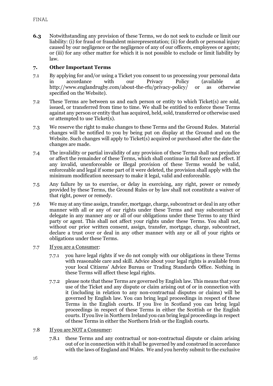**6.3** Notwithstanding any provision of these Terms, we do not seek to exclude or limit our liability: (i) for fraud or fraudulent misrepresentation; (ii) for death or personal injury caused by our negligence or the negligence of any of our officers, employees or agents; or (iii) for any other matter for which it is not possible to exclude or limit liability by law.

# **7. Other Important Terms**

- 7.1 By applying for and/or using a Ticket you consent to us processing your personal data in accordance with our Privacy Policy (available at http://www.englandrugby.com/about-the-rfu/privacy-policy/ or as otherwise specified on the Website).
- 7.2 These Terms are between us and each person or entity to which Ticket(s) are sold, issued, or transferred from time to time. We shall be entitled to enforce these Terms against any person or entity that has acquired, held, sold, transferred or otherwise used or attempted to use Ticket(s).
- <span id="page-15-0"></span>7.3 We reserve the right to make changes to these Terms and the Ground Rules. Material changes will be notified to you by being put on display at the Ground and on the Website. Such changes will apply to Ticket(s) acquired or purchased after the date the changes are made.
- 7.4 The invalidity or partial invalidity of any provision of these Terms shall not prejudice or affect the remainder of these Terms, which shall continue in full force and effect. If any invalid, unenforceable or illegal provision of these Terms would be valid, enforceable and legal if some part of it were deleted, the provision shall apply with the minimum modification necessary to make it legal, valid and enforceable.
- 7.5 Any failure by us to exercise, or delay in exercising, any right, power or remedy provided by these Terms, the Ground Rules or by law shall not constitute a waiver of that right, power or remedy.
- 7.6 We may at any time assign, transfer, mortgage, charge, subcontract or deal in any other manner with all or any of our rights under these Terms and may subcontract or delegate in any manner any or all of our obligations under these Terms to any third party or agent. This shall not affect your rights under these Terms. You shall not, without our prior written consent, assign, transfer, mortgage, charge, subcontract, declare a trust over or deal in any other manner with any or all of your rights or obligations under these Terms.
- 7.7 If you are a Consumer:
	- 7.7.1 you have legal rights if we do not comply with our obligations in these Terms with reasonable care and skill. Advice about your legal rights is available from your local Citizens' Advice Bureau or Trading Standards Office. Nothing in these Terms will affect these legal rights.
	- 7.7.2 please note that these Terms are governed by English law. This means that your use of the Ticket and any dispute or claim arising out of or in connection with it (including in relation to any non-contractual disputes or claims) will be governed by English law. You can bring legal proceedings in respect of these Terms in the English courts. If you live in Scotland you can bring legal proceedings in respect of these Terms in either the Scottish or the English courts. If you live in Northern Ireland you can bring legal proceedings in respect of these Terms in either the Northern Irish or the English courts.
- 7.8 If you are NOT a Consumer:
	- 7.8.1 these Terms and any contractual or non-contractual dispute or claim arising out of or in connection with it shall be governed by and construed in accordance with the laws of England and Wales. We and you hereby submit to the exclusive